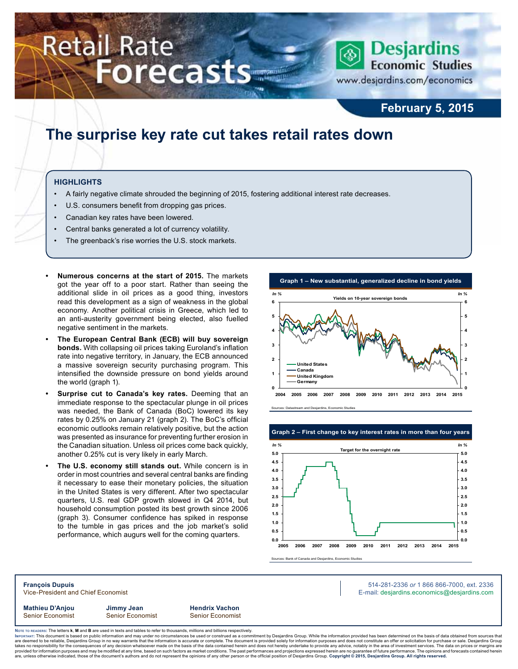# Retail Rate **Forecasts**



www.desjardins.com/economics

### **February 5, 2015**

### **The surprise key rate cut takes retail rates down**

### **Highlights**

- A fairly negative climate shrouded the beginning of 2015, fostering additional interest rate decreases.
- U.S. consumers benefit from dropping gas prices.
- Canadian key rates have been lowered.
- Central banks generated a lot of currency volatility.
- The greenback's rise worries the U.S. stock markets.
- **• Numerous concerns at the start of 2015.** The markets got the year off to a poor start. Rather than seeing the additional slide in oil prices as a good thing, investors read this development as a sign of weakness in the global economy. Another political crisis in Greece, which led to an anti-austerity government being elected, also fuelled negative sentiment in the markets.
- **The European Central Bank (ECB) will buy sovereign bonds.** With collapsing oil prices taking Euroland's inflation rate into negative territory, in January, the ECB announced a massive sovereign security purchasing program. This intensified the downside pressure on bond yields around the world (graph 1).
- Surprise cut to Canada's key rates. Deeming that an immediate response to the spectacular plunge in oil prices was needed, the Bank of Canada (BoC) lowered its key rates by 0.25% on January 21 (graph 2). The BoC's official economic outlooks remain relatively positive, but the action was presented as insurance for preventing further erosion in the Canadian situation. Unless oil prices come back quickly, another 0.25% cut is very likely in early March.
- **The U.S. economy still stands out.** While concern is in order in most countries and several central banks are finding it necessary to ease their monetary policies, the situation in the United States is very different. After two spectacular quarters, U.S. real GDP growth slowed in Q4 2014, but household consumption posted its best growth since 2006 (graph 3). Consumer confidence has spiked in response to the tumble in gas prices and the job market's solid performance, which augurs well for the coming quarters.



Sources: Datastream and Desjardins, Ec

#### **Graph 2 – First change to key interest rates in more than four years**





**François Dupuis** 514-281-2336 *or* 1 866 866-7000, ext. 2336 Vice-President and Chief Economist **E-mail: designediate and Chief Economist** E-mail: designediate economics@desjardins.com

**Mathieu D'Anjou Jimmy Jean Hendrix Vachon** Senior Economist Senior Economist Senior Economist

Noте то келоекs: The letters **k, M** and **B** are used in texts and tables to refer to thousands, millions and billions respectively.<br>Імроктлит: This document is based on public information and may under no circumstances be are deemed to be reliable, Desjardins Group in no way warrants that the information is accurate or complete. The document is provided solely for information purposes and does not constitute an offer or solicitation for pur takes no responsibility for the consequences of any decision whatsoever made on the basis of the data contained herein and does not hereby undertake to provide any advice, notably in the area of investment services. The da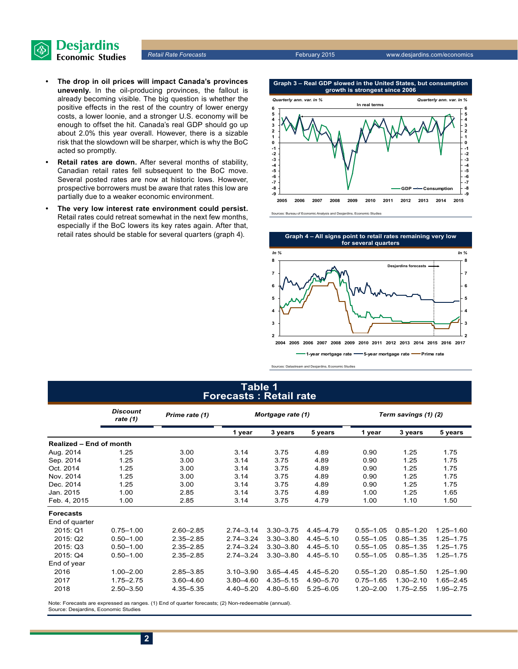

- **• The drop in oil prices will impact Canada's provinces unevenly.** In the oil-producing provinces, the fallout is already becoming visible. The big question is whether the positive effects in the rest of the country of lower energy costs, a lower loonie, and a stronger U.S. economy will be enough to offset the hit. Canada's real GDP should go up about 2.0% this year overall. However, there is a sizable risk that the slowdown will be sharper, which is why the BoC acted so promptly.
- **• Retail rates are down.** After several months of stability, Canadian retail rates fell subsequent to the BoC move. Several posted rates are now at historic lows. However, prospective borrowers must be aware that rates this low are partially due to a weaker economic environment.
- **• The very low interest rate environment could persist.** Retail rates could retreat somewhat in the next few months, especially if the BoC lowers its key rates again. After that, retail rates should be stable for several quarters (graph 4).

**Graph 3 – Real GDP slowed in the United States, but consumption growth is strongest since 2006 In real terms** *Quarterly ann. var. in % Quarterly ann. var. in %*





Sources: Datastream and Desjardins, Economic Studies

### **Table 1 Forecasts : Retail rate**

|                         | <b>Discount</b><br>rate (1) | Prime rate (1)               | Mortgage rate (1)    |               | Term savings (1) (2) |               |               |               |  |
|-------------------------|-----------------------------|------------------------------|----------------------|---------------|----------------------|---------------|---------------|---------------|--|
|                         |                             |                              | 1 year               | 3 years       | 5 years              | 1 year        | 3 years       | 5 years       |  |
| Realized - End of month |                             |                              |                      |               |                      |               |               |               |  |
| Aug. 2014               | 1.25                        | 3.00                         | 3.14                 | 3.75          | 4.89                 | 0.90          | 1.25          | 1.75          |  |
| Sep. 2014               | 1.25                        | 3.00                         | 3.14                 | 3.75          | 4.89                 | 0.90          | 1.25          | 1.75          |  |
| Oct. 2014               | 1.25                        | 3.00                         | 3.14                 | 3.75          | 4.89                 | 0.90          | 1.25          | 1.75          |  |
| Nov. 2014               | 1.25                        | 3.00                         | 3.14<br>3.75<br>4.89 |               | 0.90                 | 1.25          | 1.75          |               |  |
| Dec. 2014               | 1.25                        | 3.14<br>3.75<br>3.00<br>4.89 |                      | 0.90          | 1.25                 | 1.75          |               |               |  |
| Jan. 2015               | 1.00                        | 2.85                         | 3.14                 | 3.75          | 4.89                 | 1.00          | 1.25          | 1.65          |  |
| Feb. 4, 2015            | 1.00                        | 2.85                         | 3.14                 | 3.75          | 4.79                 | 1.00          | 1.10          | 1.50          |  |
| <b>Forecasts</b>        |                             |                              |                      |               |                      |               |               |               |  |
| End of quarter          |                             |                              |                      |               |                      |               |               |               |  |
| 2015: Q1                | $0.75 - 1.00$               | $2.60 - 2.85$                | $2.74 - 3.14$        | $3.30 - 3.75$ | 4.45-4.79            | $0.55 - 1.05$ | $0.85 - 1.20$ | $1.25 - 1.60$ |  |
| 2015: Q2                | $0.50 - 1.00$               | $2.35 - 2.85$                | $2.74 - 3.24$        | $3.30 - 3.80$ | $4.45 - 5.10$        | $0.55 - 1.05$ | $0.85 - 1.35$ | $1.25 - 1.75$ |  |
| 2015: Q3                | $0.50 - 1.00$               | $2.35 - 2.85$                | $2.74 - 3.24$        | $3.30 - 3.80$ | $4.45 - 5.10$        | $0.55 - 1.05$ | $0.85 - 1.35$ | $1.25 - 1.75$ |  |
| 2015: Q4                | $0.50 - 1.00$               | $2.35 - 2.85$                | $2.74 - 3.24$        | $3.30 - 3.80$ | $4.45 - 5.10$        | $0.55 - 1.05$ | $0.85 - 1.35$ | $1.25 - 1.75$ |  |
| End of year             |                             |                              |                      |               |                      |               |               |               |  |
| 2016                    | $1.00 - 2.00$               | $2.85 - 3.85$                | $3.10 - 3.90$        | $3.65 - 4.45$ | $4.45 - 5.20$        | $0.55 - 1.20$ | $0.85 - 1.50$ | $1.25 - 1.90$ |  |
| 2017                    | $1.75 - 2.75$               | $3.60 - 4.60$                | $3.80 - 4.60$        | $4.35 - 5.15$ | 4.90 - 5.70          | $0.75 - 1.65$ | $1.30 - 2.10$ | 1.65-2.45     |  |
| 2018                    | $2.50 - 3.50$               | 4.35 - 5.35                  | $4.40 - 5.20$        | 4.80-5.60     | $5.25 - 6.05$        | $1.20 - 2.00$ | $1.75 - 2.55$ | 1.95-2.75     |  |

Note: Forecasts are expressed as ranges. (1) End of quarter forecasts; (2) Non-redeemable (annual). Source: Desjardins, Economic Studies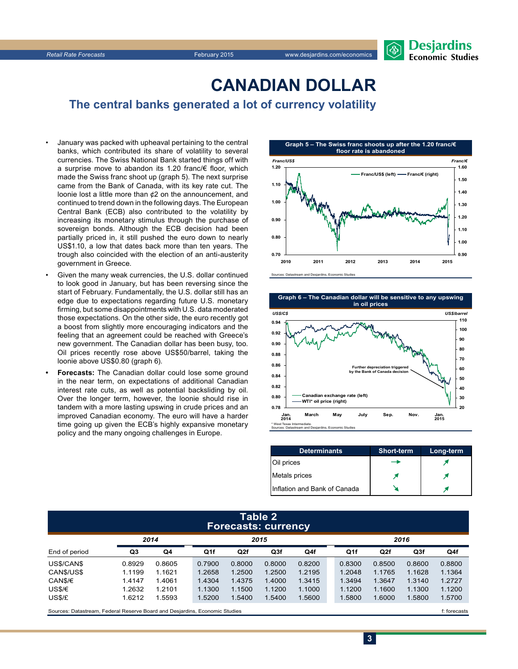

### **CanadiAn Dollar**

**The central banks generated a lot of currency volatility**

- January was packed with upheaval pertaining to the central banks, which contributed its share of volatility to several currencies. The Swiss National Bank started things off with a surprise move to abandon its 1.20 franc/€ floor, which made the Swiss franc shoot up (graph 5). The next surprise came from the Bank of Canada, with its key rate cut. The loonie lost a little more than ¢2 on the announcement, and continued to trend down in the following days. The European Central Bank (ECB) also contributed to the volatility by increasing its monetary stimulus through the purchase of sovereign bonds. Although the ECB decision had been partially priced in, it still pushed the euro down to nearly US\$1.10, a low that dates back more than ten years. The trough also coincided with the election of an anti-austerity government in Greece.
- Given the many weak currencies, the U.S. dollar continued to look good in January, but has been reversing since the start of February. Fundamentally, the U.S. dollar still has an edge due to expectations regarding future U.S. monetary firming, but some disappointments with U.S. data moderated those expectations. On the other side, the euro recently got a boost from slightly more encouraging indicators and the feeling that an agreement could be reached with Greece's new government. The Canadian dollar has been busy, too. Oil prices recently rose above US\$50/barrel, taking the loonie above US\$0.80 (graph 6).
- **Forecasts:** The Canadian dollar could lose some ground in the near term, on expectations of additional Canadian interest rate cuts, as well as potential backsliding by oil. Over the longer term, however, the loonie should rise in tandem with a more lasting upswing in crude prices and an improved Canadian economy. The euro will have a harder time going up given the ECB's highly expansive monetary policy and the many ongoing challenges in Europe.



Sources: Datastream and Desjardins, Economic Studies



| <b>Determinants</b>          | <b>Short-term</b> | Long-term |
|------------------------------|-------------------|-----------|
| Oil prices                   |                   |           |
| Metals prices                |                   |           |
| Inflation and Bank of Canada |                   |           |

### **Table 2 Forecasts: currency**

|                                                                             | 2014   |        | 2015            |        |        |        |        | 2016 |                 |        |        |
|-----------------------------------------------------------------------------|--------|--------|-----------------|--------|--------|--------|--------|------|-----------------|--------|--------|
| End of period                                                               | Q3     | Q4     | Q <sub>1f</sub> | Q2f    | Q3f    | Q4f    |        | Q1f  | Q <sub>2f</sub> | Q3f    | Q4f    |
| US\$/CAN\$                                                                  | 0.8929 | 0.8605 | 0.7900          | 0.8000 | 0.8000 | 0.8200 | 0.8300 |      | 0.8500          | 0.8600 | 0.8800 |
| CANS/USS                                                                    | 1.1199 | 1.1621 | 1.2658          | 1.2500 | 1.2500 | 1.2195 | 1.2048 |      | 1.1765          | 1.1628 | 1.1364 |
| CAN\$/€                                                                     | 1.4147 | 1.4061 | 1.4304          | 1.4375 | 1.4000 | 1.3415 | 1.3494 |      | 1.3647          | 1.3140 | 1.2727 |
| US\$/€                                                                      | 1.2632 | 1.2101 | 1.1300          | 1.1500 | 1.1200 | 1.1000 | 1.1200 |      | 1.1600          | 1.1300 | 1.1200 |
| US\$/£                                                                      | 1.6212 | 1.5593 | 1.5200          | 1.5400 | 1.5400 | 1.5600 | 1.5800 |      | 1.6000          | 1.5800 | 1.5700 |
| Sources: Datastream. Federal Reserve Board and Desiardins. Economic Studies |        |        |                 |        |        |        |        |      | f: forecasts    |        |        |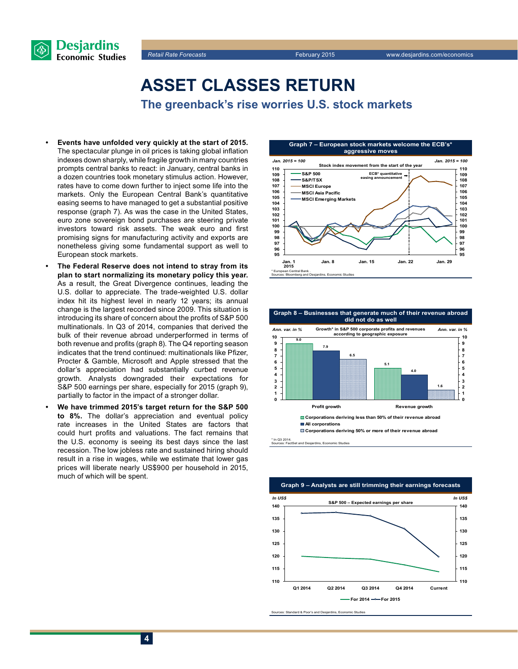



## **Asset classes return**

**The greenback's rise worries U.S. stock markets**

- **Events have unfolded very quickly at the start of 2015.** The spectacular plunge in oil prices is taking global inflation indexes down sharply, while fragile growth in many countries prompts central banks to react: in January, central banks in a dozen countries took monetary stimulus action. However, rates have to come down further to inject some life into the markets. Only the European Central Bank's quantitative easing seems to have managed to get a substantial positive response (graph 7). As was the case in the United States, euro zone sovereign bond purchases are steering private investors toward risk assets. The weak euro and first promising signs for manufacturing activity and exports are nonetheless giving some fundamental support as well to European stock markets.
- **The Federal Reserve does not intend to stray from its plan to start normalizing its monetary policy this year.** As a result, the Great Divergence continues, leading the U.S. dollar to appreciate. The trade-weighted U.S. dollar index hit its highest level in nearly 12 years; its annual change is the largest recorded since 2009. This situation is introducing its share of concern about the profits of S&P 500 multinationals. In Q3 of 2014, companies that derived the bulk of their revenue abroad underperformed in terms of both revenue and profits (graph 8). The Q4 reporting season indicates that the trend continued: multinationals like Pfizer, Procter & Gamble, Microsoft and Apple stressed that the dollar's appreciation had substantially curbed revenue growth. Analysts downgraded their expectations for S&P 500 earnings per share, especially for 2015 (graph 9), partially to factor in the impact of a stronger dollar.
- **• We have trimmed 2015's target return for the S&P 500 to 8%.** The dollar's appreciation and eventual policy rate increases in the United States are factors that could hurt profits and valuations. The fact remains that the U.S. economy is seeing its best days since the last recession. The low jobless rate and sustained hiring should result in a rise in wages, while we estimate that lower gas prices will liberate nearly US\$900 per household in 2015, much of which will be spent.